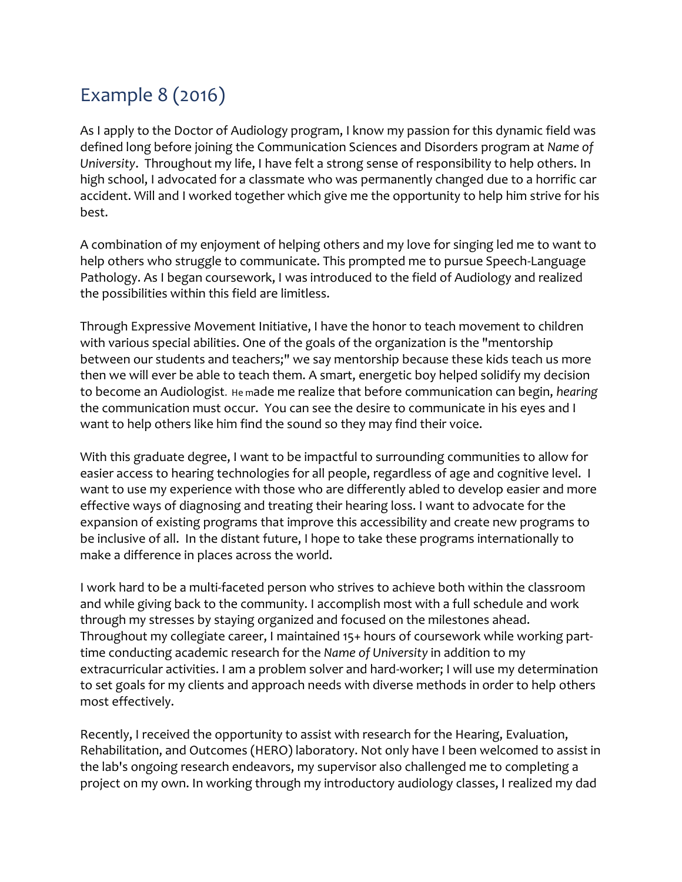## Example 8 (2016)

As I apply to the Doctor of Audiology program, I know my passion for this dynamic field was defined long before joining the Communication Sciences and Disorders program at *Name of University*. Throughout my life, I have felt a strong sense of responsibility to help others. In high school, I advocated for a classmate who was permanently changed due to a horrific car accident. Will and I worked together which give me the opportunity to help him strive for his best.

A combination of my enjoyment of helping others and my love for singing led me to want to help others who struggle to communicate. This prompted me to pursue Speech-Language Pathology. As I began coursework, I was introduced to the field of Audiology and realized the possibilities within this field are limitless.

Through Expressive Movement Initiative, I have the honor to teach movement to children with various special abilities. One of the goals of the organization is the "mentorship between our students and teachers;" we say mentorship because these kids teach us more then we will ever be able to teach them. A smart, energetic boy helped solidify my decision to become an Audiologist. He made me realize that before communication can begin, *hearing* the communication must occur. You can see the desire to communicate in his eyes and I want to help others like him find the sound so they may find their voice.

With this graduate degree, I want to be impactful to surrounding communities to allow for easier access to hearing technologies for all people, regardless of age and cognitive level. I want to use my experience with those who are differently abled to develop easier and more effective ways of diagnosing and treating their hearing loss. I want to advocate for the expansion of existing programs that improve this accessibility and create new programs to be inclusive of all. In the distant future, I hope to take these programs internationally to make a difference in places across the world.

I work hard to be a multi-faceted person who strives to achieve both within the classroom and while giving back to the community. I accomplish most with a full schedule and work through my stresses by staying organized and focused on the milestones ahead. Throughout my collegiate career, I maintained 15+ hours of coursework while working parttime conducting academic research for the *Name of University* in addition to my extracurricular activities. I am a problem solver and hard-worker; I will use my determination to set goals for my clients and approach needs with diverse methods in order to help others most effectively.

Recently, I received the opportunity to assist with research for the Hearing, Evaluation, Rehabilitation, and Outcomes (HERO) laboratory. Not only have I been welcomed to assist in the lab's ongoing research endeavors, my supervisor also challenged me to completing a project on my own. In working through my introductory audiology classes, I realized my dad